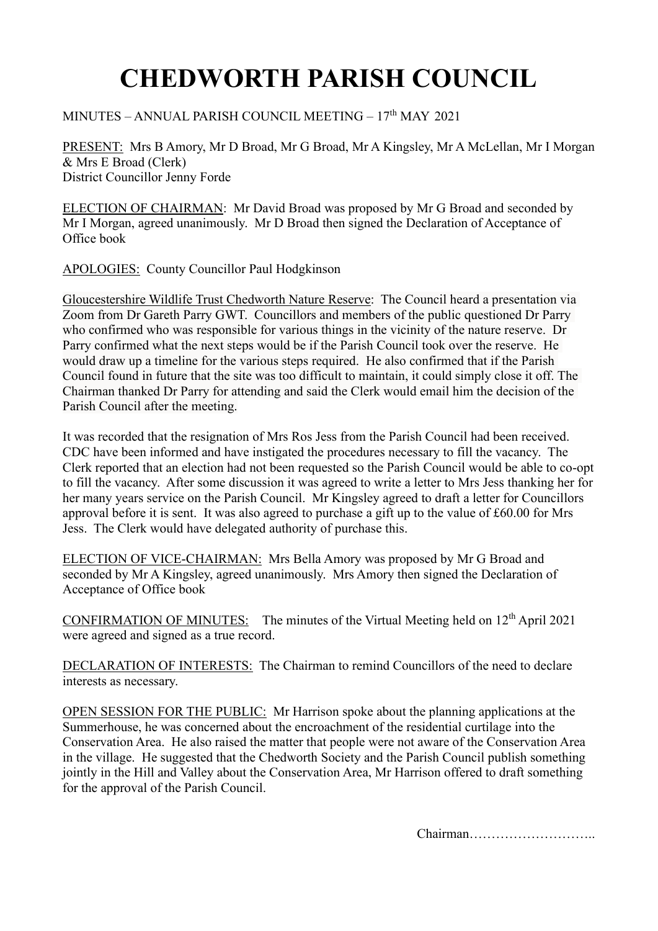# **CHEDWORTH PARISH COUNCIL**

# MINUTES – ANNUAL PARISH COUNCIL MEETING – 17<sup>th</sup> MAY 2021

PRESENT: Mrs B Amory, Mr D Broad, Mr G Broad, Mr A Kingsley, Mr A McLellan, Mr I Morgan & Mrs E Broad (Clerk) District Councillor Jenny Forde

ELECTION OF CHAIRMAN: Mr David Broad was proposed by Mr G Broad and seconded by Mr I Morgan, agreed unanimously. Mr D Broad then signed the Declaration of Acceptance of Office book

APOLOGIES: County Councillor Paul Hodgkinson

Gloucestershire Wildlife Trust Chedworth Nature Reserve: The Council heard a presentation via Zoom from Dr Gareth Parry GWT. Councillors and members of the public questioned Dr Parry who confirmed who was responsible for various things in the vicinity of the nature reserve. Dr Parry confirmed what the next steps would be if the Parish Council took over the reserve. He would draw up a timeline for the various steps required. He also confirmed that if the Parish Council found in future that the site was too difficult to maintain, it could simply close it off. The Chairman thanked Dr Parry for attending and said the Clerk would email him the decision of the Parish Council after the meeting.

It was recorded that the resignation of Mrs Ros Jess from the Parish Council had been received. CDC have been informed and have instigated the procedures necessary to fill the vacancy. The Clerk reported that an election had not been requested so the Parish Council would be able to co-opt to fill the vacancy. After some discussion it was agreed to write a letter to Mrs Jess thanking her for her many years service on the Parish Council. Mr Kingsley agreed to draft a letter for Councillors approval before it is sent. It was also agreed to purchase a gift up to the value of £60.00 for Mrs Jess. The Clerk would have delegated authority of purchase this.

ELECTION OF VICE-CHAIRMAN: Mrs Bella Amory was proposed by Mr G Broad and seconded by Mr A Kingsley, agreed unanimously. Mrs Amory then signed the Declaration of Acceptance of Office book

CONFIRMATION OF MINUTES: The minutes of the Virtual Meeting held on  $12<sup>th</sup>$  April 2021 were agreed and signed as a true record.

DECLARATION OF INTERESTS: The Chairman to remind Councillors of the need to declare interests as necessary.

OPEN SESSION FOR THE PUBLIC: Mr Harrison spoke about the planning applications at the Summerhouse, he was concerned about the encroachment of the residential curtilage into the Conservation Area. He also raised the matter that people were not aware of the Conservation Area in the village. He suggested that the Chedworth Society and the Parish Council publish something jointly in the Hill and Valley about the Conservation Area, Mr Harrison offered to draft something for the approval of the Parish Council.

Chairman………………………..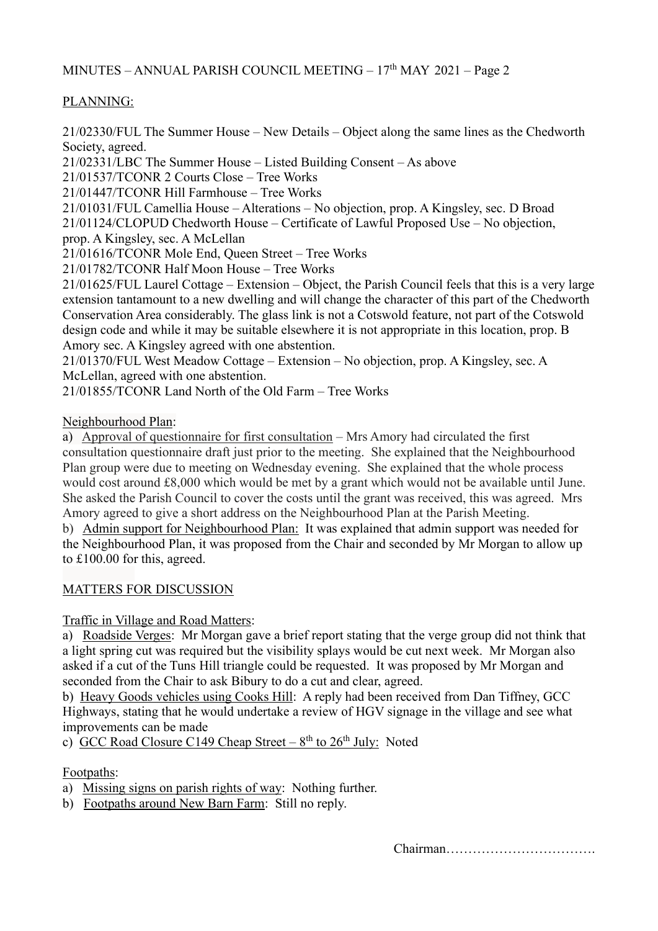# MINUTES – ANNUAL PARISH COUNCIL MEETING – 17th MAY 2021 – Page 2

### PLANNING:

21/02330/FUL The Summer House – New Details – Object along the same lines as the Chedworth Society, agreed.

21/02331/LBC The Summer House – Listed Building Consent – As above

21/01537/TCONR 2 Courts Close – Tree Works

21/01447/TCONR Hill Farmhouse – Tree Works

21/01031/FUL Camellia House – Alterations – No objection, prop. A Kingsley, sec. D Broad

21/01124/CLOPUD Chedworth House – Certificate of Lawful Proposed Use – No objection, prop. A Kingsley, sec. A McLellan

21/01616/TCONR Mole End, Queen Street – Tree Works

21/01782/TCONR Half Moon House – Tree Works

21/01625/FUL Laurel Cottage – Extension – Object, the Parish Council feels that this is a very large extension tantamount to a new dwelling and will change the character of this part of the Chedworth Conservation Area considerably. The glass link is not a Cotswold feature, not part of the Cotswold design code and while it may be suitable elsewhere it is not appropriate in this location, prop. B Amory sec. A Kingsley agreed with one abstention.

21/01370/FUL West Meadow Cottage – Extension – No objection, prop. A Kingsley, sec. A McLellan, agreed with one abstention.

21/01855/TCONR Land North of the Old Farm – Tree Works

Neighbourhood Plan:

a) Approval of questionnaire for first consultation – Mrs Amory had circulated the first consultation questionnaire draft just prior to the meeting. She explained that the Neighbourhood Plan group were due to meeting on Wednesday evening. She explained that the whole process would cost around £8,000 which would be met by a grant which would not be available until June. She asked the Parish Council to cover the costs until the grant was received, this was agreed. Mrs Amory agreed to give a short address on the Neighbourhood Plan at the Parish Meeting. b) Admin support for Neighbourhood Plan: It was explained that admin support was needed for

the Neighbourhood Plan, it was proposed from the Chair and seconded by Mr Morgan to allow up to £100.00 for this, agreed.

#### MATTERS FOR DISCUSSION

Traffic in Village and Road Matters:

a) Roadside Verges: Mr Morgan gave a brief report stating that the verge group did not think that a light spring cut was required but the visibility splays would be cut next week. Mr Morgan also asked if a cut of the Tuns Hill triangle could be requested. It was proposed by Mr Morgan and seconded from the Chair to ask Bibury to do a cut and clear, agreed.

b) Heavy Goods vehicles using Cooks Hill: A reply had been received from Dan Tiffney, GCC Highways, stating that he would undertake a review of HGV signage in the village and see what improvements can be made

c) GCC Road Closure C149 Cheap Street – 8<sup>th</sup> to 26<sup>th</sup> July: Noted

#### Footpaths:

- a) Missing signs on parish rights of way: Nothing further.
- b) Footpaths around New Barn Farm: Still no reply.

Chairman…………………………….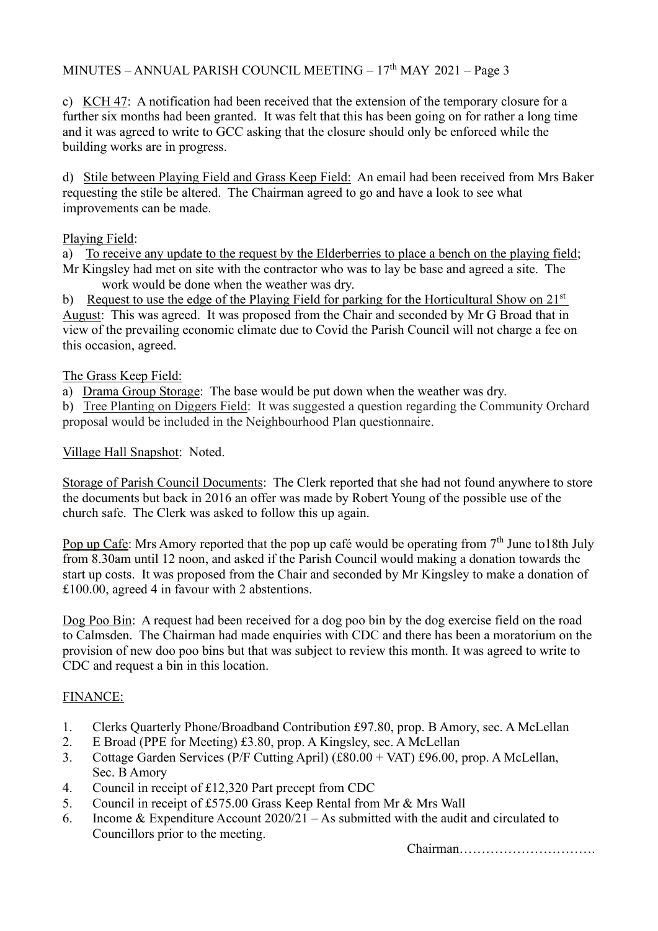# MINUTES – ANNUAL PARISH COUNCIL MEETING – 17th MAY 2021 – Page 3

c) KCH 47: A notification had been received that the extension of the temporary closure for a further six months had been granted. It was felt that this has been going on for rather a long time and it was agreed to write to GCC asking that the closure should only be enforced while the building works are in progress.

d) Stile between Playing Field and Grass Keep Field: An email had been received from Mrs Baker requesting the stile be altered. The Chairman agreed to go and have a look to see what improvements can be made.

#### Playing Field:

a) To receive any update to the request by the Elderberries to place a bench on the playing field; Mr Kingsley had met on site with the contractor who was to lay be base and agreed a site. The work would be done when the weather was dry.

b) Request to use the edge of the Playing Field for parking for the Horticultural Show on  $21<sup>st</sup>$ August: This was agreed. It was proposed from the Chair and seconded by Mr G Broad that in view of the prevailing economic climate due to Covid the Parish Council will not charge a fee on this occasion, agreed.

### The Grass Keep Field:

a) Drama Group Storage: The base would be put down when the weather was dry.

b) Tree Planting on Diggers Field: It was suggested a question regarding the Community Orchard proposal would be included in the Neighbourhood Plan questionnaire.

### Village Hall Snapshot: Noted.

Storage of Parish Council Documents: The Clerk reported that she had not found anywhere to store the documents but back in 2016 an offer was made by Robert Young of the possible use of the church safe. The Clerk was asked to follow this up again.

Pop up Cafe: Mrs Amory reported that the pop up café would be operating from  $7<sup>th</sup>$  June to 18th July from 8.30am until 12 noon, and asked if the Parish Council would making a donation towards the start up costs. It was proposed from the Chair and seconded by Mr Kingsley to make a donation of £100.00, agreed 4 in favour with 2 abstentions.

Dog Poo Bin: A request had been received for a dog poo bin by the dog exercise field on the road to Calmsden. The Chairman had made enquiries with CDC and there has been a moratorium on the provision of new doo poo bins but that was subject to review this month. It was agreed to write to CDC and request a bin in this location.

# FINANCE:

- 1. Clerks Quarterly Phone/Broadband Contribution £97.80, prop. B Amory, sec. A McLellan
- 2. E Broad (PPE for Meeting) £3.80, prop. A Kingsley, sec. A McLellan
- 3. Cottage Garden Services (P/F Cutting April) (£80.00 + VAT) £96.00, prop. A McLellan, Sec. B Amory
- 4. Council in receipt of £12,320 Part precept from CDC
- 5. Council in receipt of £575.00 Grass Keep Rental from Mr & Mrs Wall
- 6. Income & Expenditure Account 2020/21 As submitted with the audit and circulated to Councillors prior to the meeting.

Chairman………………………….